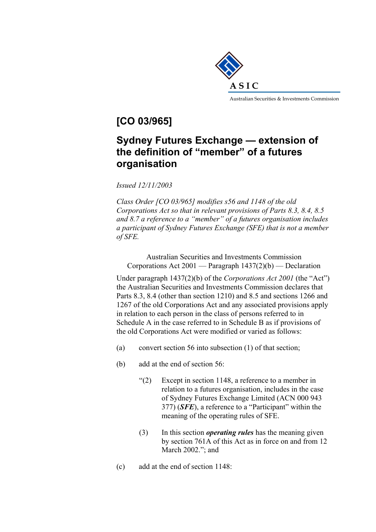

# **[CO 03/965]**

## **Sydney Futures Exchange — extension of the definition of "member" of a futures organisation**

*Issued 12/11/2003* 

*Class Order [CO 03/965] modifies s56 and 1148 of the old Corporations Act so that in relevant provisions of Parts 8.3, 8.4, 8.5 and 8.7 a reference to a "member" of a futures organisation includes a participant of Sydney Futures Exchange (SFE) that is not a member of SFE.* 

Australian Securities and Investments Commission Corporations Act 2001 — Paragraph 1437(2)(b) — Declaration

Under paragraph 1437(2)(b) of the *Corporations Act 2001* (the "Act") the Australian Securities and Investments Commission declares that Parts 8.3, 8.4 (other than section 1210) and 8.5 and sections 1266 and 1267 of the old Corporations Act and any associated provisions apply in relation to each person in the class of persons referred to in Schedule A in the case referred to in Schedule B as if provisions of the old Corporations Act were modified or varied as follows:

- (a) convert section 56 into subsection (1) of that section;
- (b) add at the end of section 56:
	- "(2) Except in section 1148, a reference to a member in relation to a futures organisation, includes in the case of Sydney Futures Exchange Limited (ACN 000 943 377) (*SFE*), a reference to a "Participant" within the meaning of the operating rules of SFE.
	- (3) In this section *operating rules* has the meaning given by section 761A of this Act as in force on and from 12 March 2002."; and
- (c) add at the end of section 1148: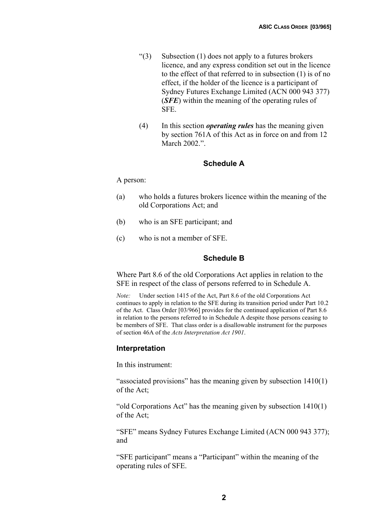- " $(3)$  Subsection  $(1)$  does not apply to a futures brokers licence, and any express condition set out in the licence to the effect of that referred to in subsection (1) is of no effect, if the holder of the licence is a participant of Sydney Futures Exchange Limited (ACN 000 943 377) (*SFE*) within the meaning of the operating rules of SFE.
- (4) In this section *operating rules* has the meaning given by section 761A of this Act as in force on and from 12 March 2002."

#### **Schedule A**

A person:

- (a) who holds a futures brokers licence within the meaning of the old Corporations Act; and
- (b) who is an SFE participant; and
- (c) who is not a member of SFE.

## **Schedule B**

Where Part 8.6 of the old Corporations Act applies in relation to the SFE in respect of the class of persons referred to in Schedule A.

*Note:* Under section 1415 of the Act, Part 8.6 of the old Corporations Act continues to apply in relation to the SFE during its transition period under Part 10.2 of the Act. Class Order [03/966] provides for the continued application of Part 8.6 in relation to the persons referred to in Schedule A despite those persons ceasing to be members of SFE. That class order is a disallowable instrument for the purposes of section 46A of the *Acts Interpretation Act 1901*.

## **Interpretation**

In this instrument:

"associated provisions" has the meaning given by subsection 1410(1) of the Act;

"old Corporations Act" has the meaning given by subsection 1410(1) of the Act;

"SFE" means Sydney Futures Exchange Limited (ACN 000 943 377); and

"SFE participant" means a "Participant" within the meaning of the operating rules of SFE.